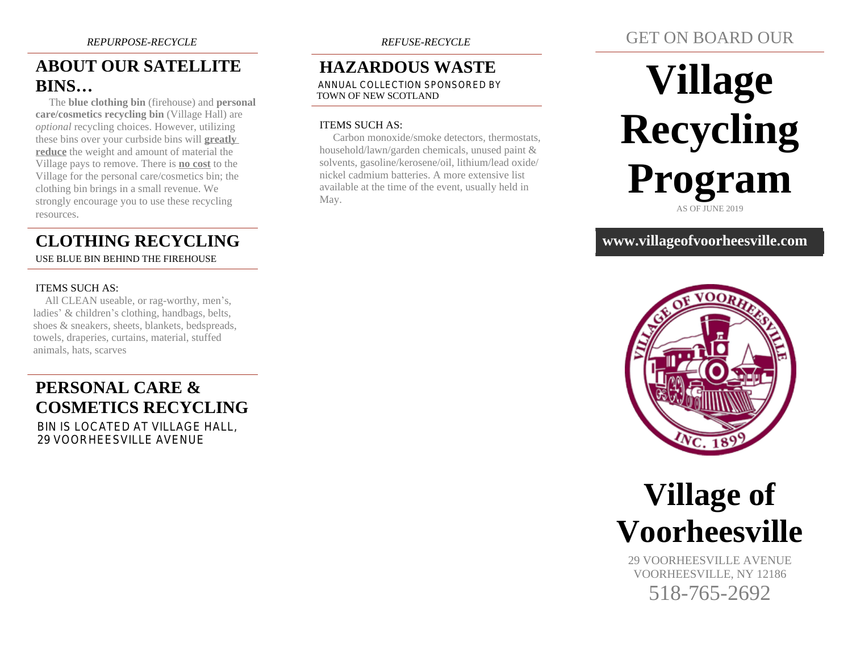# **ABOUT OUR SATELLITE BINS…**

 The **blue clothing bin** (firehouse) and **personal care/cosmetics recycling bin** (Village Hall) are *optional* recycling choices. However, utilizing these bins over your curbside bins will **greatly reduce** the weight and amount of material the Village pays to remove. There is **no cost** to the Village for the personal care/cosmetics bin; the clothing bin brings in a small revenue. We strongly encourage you to use these recycling resources.

# **CLOTHING RECYCLING**

USE BLUE BIN BEHIND THE FIREHOUSE

#### ITEMS SUCH AS:

 All CLEAN useable, or rag-worthy, men's, ladies' & children's clothing, handbags, belts, shoes & sneakers, sheets, blankets, bedspreads, towels, draperies, curtains, material, stuffed animals, hats, scarves

# **PERSONAL CARE & COSMETICS RECYCLING**

 BIN IS LOCATED AT VILLAGE HALL, 29 VOORHEESVILLE AVENUE

# **HAZARDOUS WASTE**

 ANNUAL COLLECTION SPONSORED BY TOWN OF NEW SCOTLAND

#### ITEMS SUCH AS:

 Carbon monoxide/smoke detectors, thermostats, household/lawn/garden chemicals, unused paint & solvents, gasoline/kerosene/oil, lithium/lead oxide/ nickel cadmium batteries. A more extensive list available at the time of the event, usually held in May.

# GET ON BOARD OUR

# **Village Recycling Program** AS OF JUNE 2019

## **www.villageofvoorheesville.com**





29 VOORHEESVILLE AVENUE VOORHEESVILLE, NY 12186

518-765-2692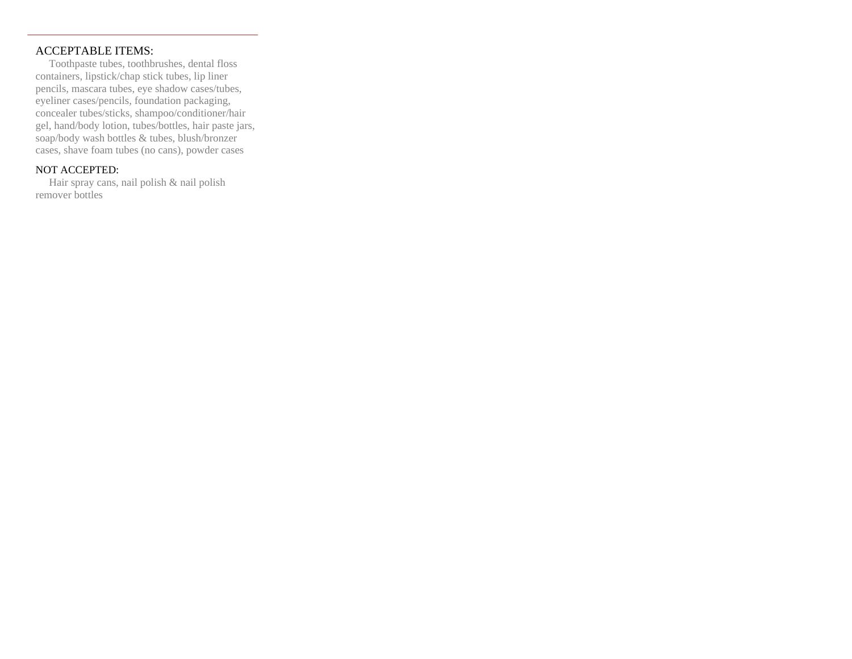#### ACCEPTABLE ITEMS:

 Toothpaste tubes, toothbrushes, dental floss containers, lipstick/chap stick tubes, lip liner pencils, mascara tubes, eye shadow cases/tubes, eyeliner cases/pencils, foundation packaging, concealer tubes/sticks, shampoo/conditioner/hair gel, hand/body lotion, tubes/bottles, hair paste jars, soap/body wash bottles & tubes, blush/bronzer cases, shave foam tubes (no cans), powder cases

## NOT ACCEPTED:

 Hair spray cans, nail polish & nail polish remover bottles